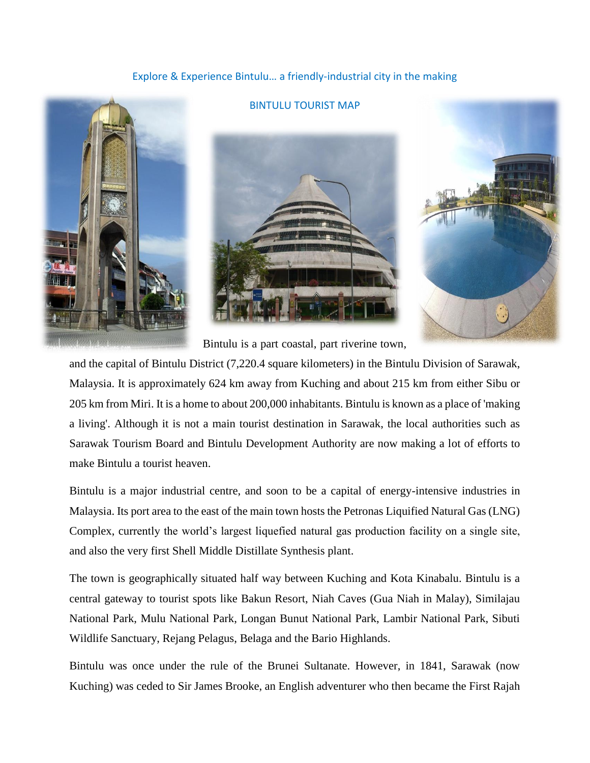# Explore & Experience Bintulu… a friendly-industrial city in the making

BINTULU TOURIST MAP





Bintulu is a part coastal, part riverine town,

and the capital of Bintulu District (7,220.4 square kilometers) in the Bintulu Division of Sarawak, Malaysia. It is approximately 624 km away from Kuching and about 215 km from either Sibu or 205 km from Miri. It is a home to about 200,000 inhabitants. Bintulu is known as a place of 'making a living'. Although it is not a main tourist destination in Sarawak, the local authorities such as Sarawak Tourism Board and Bintulu Development Authority are now making a lot of efforts to make Bintulu a tourist heaven.

Bintulu is a major industrial centre, and soon to be a capital of energy-intensive industries in Malaysia. Its port area to the east of the main town hosts the Petronas Liquified Natural Gas (LNG) Complex, currently the world's largest liquefied natural gas production facility on a single site, and also the very first Shell Middle Distillate Synthesis plant.

The town is geographically situated half way between Kuching and Kota Kinabalu. Bintulu is a central gateway to tourist spots like Bakun Resort, Niah Caves (Gua Niah in Malay), Similajau National Park, Mulu National Park, Longan Bunut National Park, Lambir National Park, Sibuti Wildlife Sanctuary, Rejang Pelagus, Belaga and the Bario Highlands.

Bintulu was once under the rule of the Brunei Sultanate. However, in 1841, Sarawak (now Kuching) was ceded to Sir James Brooke, an English adventurer who then became the First Rajah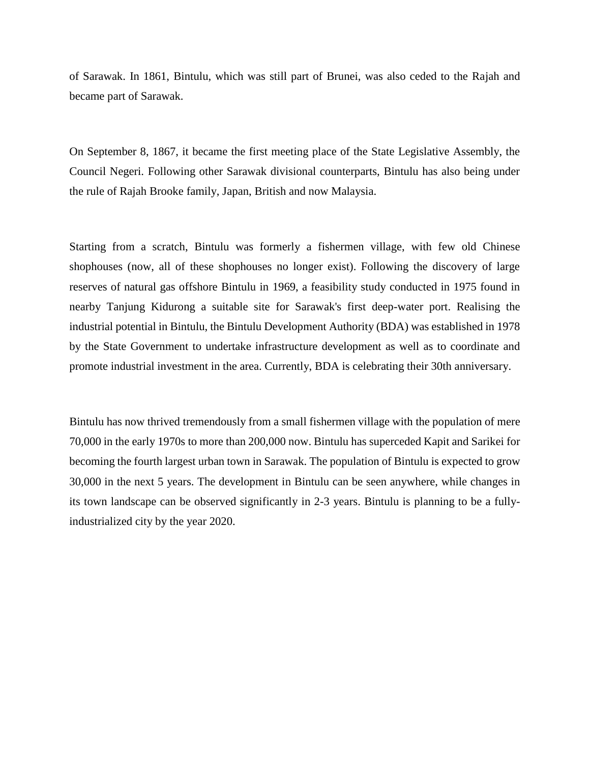of Sarawak. In 1861, Bintulu, which was still part of Brunei, was also ceded to the Rajah and became part of Sarawak.

On September 8, 1867, it became the first meeting place of the State Legislative Assembly, the Council Negeri. Following other Sarawak divisional counterparts, Bintulu has also being under the rule of Rajah Brooke family, Japan, British and now Malaysia.

Starting from a scratch, Bintulu was formerly a fishermen village, with few old Chinese shophouses (now, all of these shophouses no longer exist). Following the discovery of large reserves of natural gas offshore Bintulu in 1969, a feasibility study conducted in 1975 found in nearby Tanjung Kidurong a suitable site for Sarawak's first deep-water port. Realising the industrial potential in Bintulu, the Bintulu Development Authority (BDA) was established in 1978 by the State Government to undertake infrastructure development as well as to coordinate and promote industrial investment in the area. Currently, BDA is celebrating their 30th anniversary.

Bintulu has now thrived tremendously from a small fishermen village with the population of mere 70,000 in the early 1970s to more than 200,000 now. Bintulu has superceded Kapit and Sarikei for becoming the fourth largest urban town in Sarawak. The population of Bintulu is expected to grow 30,000 in the next 5 years. The development in Bintulu can be seen anywhere, while changes in its town landscape can be observed significantly in 2-3 years. Bintulu is planning to be a fullyindustrialized city by the year 2020.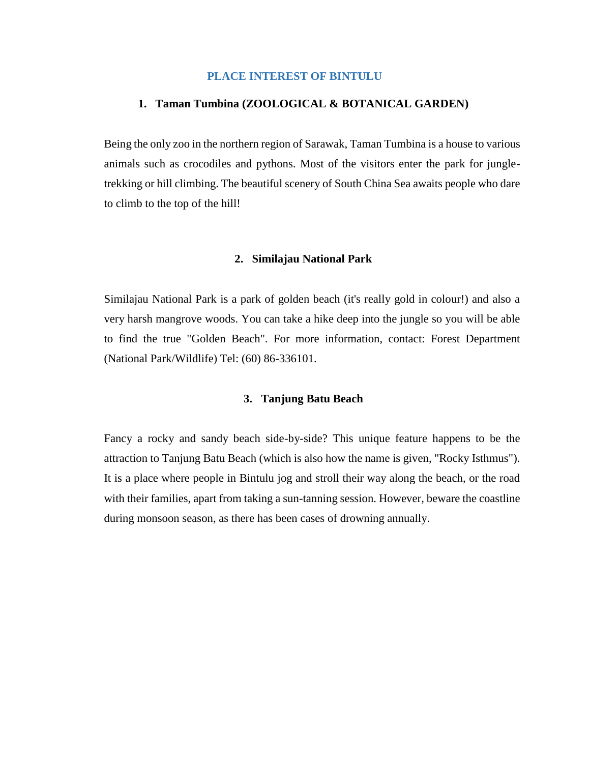#### **PLACE INTEREST OF BINTULU**

#### **1. Taman Tumbina (ZOOLOGICAL & BOTANICAL GARDEN)**

Being the only zoo in the northern region of Sarawak, Taman Tumbina is a house to various animals such as crocodiles and pythons. Most of the visitors enter the park for jungletrekking or hill climbing. The beautiful scenery of South China Sea awaits people who dare to climb to the top of the hill!

#### **2. Similajau National Park**

Similajau National Park is a park of golden beach (it's really gold in colour!) and also a very harsh mangrove woods. You can take a hike deep into the jungle so you will be able to find the true "Golden Beach". For more information, contact: Forest Department (National Park/Wildlife) Tel: (60) 86-336101.

# **3. Tanjung Batu Beach**

Fancy a rocky and sandy beach side-by-side? This unique feature happens to be the attraction to Tanjung Batu Beach (which is also how the name is given, "Rocky Isthmus"). It is a place where people in Bintulu jog and stroll their way along the beach, or the road with their families, apart from taking a sun-tanning session. However, beware the coastline during monsoon season, as there has been cases of drowning annually.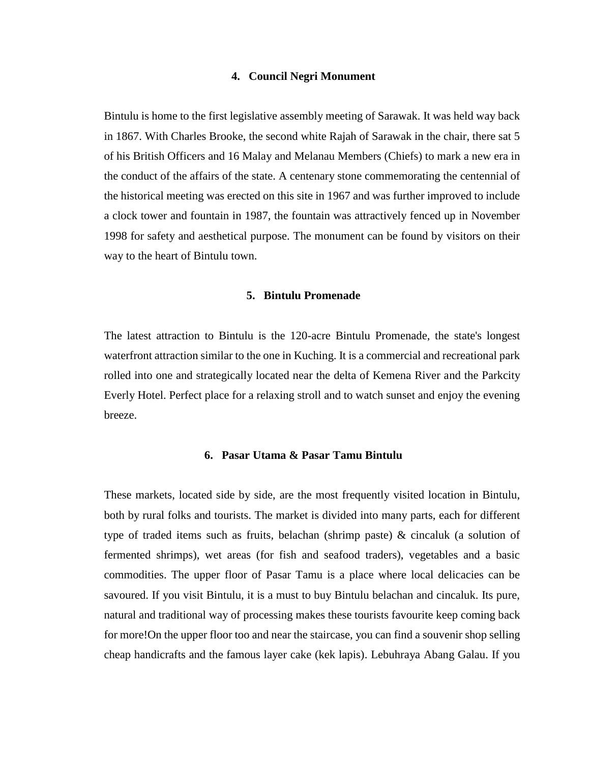#### **4. Council Negri Monument**

Bintulu is home to the first legislative assembly meeting of Sarawak. It was held way back in 1867. With Charles Brooke, the second white Rajah of Sarawak in the chair, there sat 5 of his British Officers and 16 Malay and Melanau Members (Chiefs) to mark a new era in the conduct of the affairs of the state. A centenary stone commemorating the centennial of the historical meeting was erected on this site in 1967 and was further improved to include a clock tower and fountain in 1987, the fountain was attractively fenced up in November 1998 for safety and aesthetical purpose. The monument can be found by visitors on their way to the heart of Bintulu town.

#### **5. Bintulu Promenade**

The latest attraction to Bintulu is the 120-acre Bintulu Promenade, the state's longest waterfront attraction similar to the one in Kuching. It is a commercial and recreational park rolled into one and strategically located near the delta of Kemena River and the Parkcity Everly Hotel. Perfect place for a relaxing stroll and to watch sunset and enjoy the evening breeze.

#### **6. Pasar Utama & Pasar Tamu Bintulu**

These markets, located side by side, are the most frequently visited location in Bintulu, both by rural folks and tourists. The market is divided into many parts, each for different type of traded items such as fruits, belachan (shrimp paste) & cincaluk (a solution of fermented shrimps), wet areas (for fish and seafood traders), vegetables and a basic commodities. The upper floor of Pasar Tamu is a place where local delicacies can be savoured. If you visit Bintulu, it is a must to buy Bintulu belachan and cincaluk. Its pure, natural and traditional way of processing makes these tourists favourite keep coming back for more!On the upper floor too and near the staircase, you can find a souvenir shop selling cheap handicrafts and the famous layer cake (kek lapis). Lebuhraya Abang Galau. If you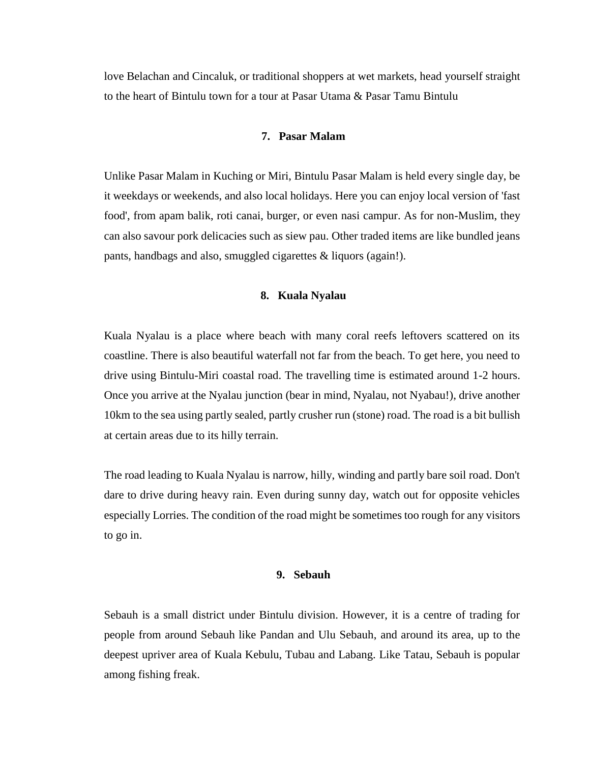love Belachan and Cincaluk, or traditional shoppers at wet markets, head yourself straight to the heart of Bintulu town for a tour at Pasar Utama & Pasar Tamu Bintulu

#### **7. Pasar Malam**

Unlike Pasar Malam in Kuching or Miri, Bintulu Pasar Malam is held every single day, be it weekdays or weekends, and also local holidays. Here you can enjoy local version of 'fast food', from apam balik, roti canai, burger, or even nasi campur. As for non-Muslim, they can also savour pork delicacies such as siew pau. Other traded items are like bundled jeans pants, handbags and also, smuggled cigarettes & liquors (again!).

#### **8. Kuala Nyalau**

Kuala Nyalau is a place where beach with many coral reefs leftovers scattered on its coastline. There is also beautiful waterfall not far from the beach. To get here, you need to drive using Bintulu-Miri coastal road. The travelling time is estimated around 1-2 hours. Once you arrive at the Nyalau junction (bear in mind, Nyalau, not Nyabau!), drive another 10km to the sea using partly sealed, partly crusher run (stone) road. The road is a bit bullish at certain areas due to its hilly terrain.

The road leading to Kuala Nyalau is narrow, hilly, winding and partly bare soil road. Don't dare to drive during heavy rain. Even during sunny day, watch out for opposite vehicles especially Lorries. The condition of the road might be sometimes too rough for any visitors to go in.

#### **9. Sebauh**

Sebauh is a small district under Bintulu division. However, it is a centre of trading for people from around Sebauh like Pandan and Ulu Sebauh, and around its area, up to the deepest upriver area of Kuala Kebulu, Tubau and Labang. Like Tatau, Sebauh is popular among fishing freak.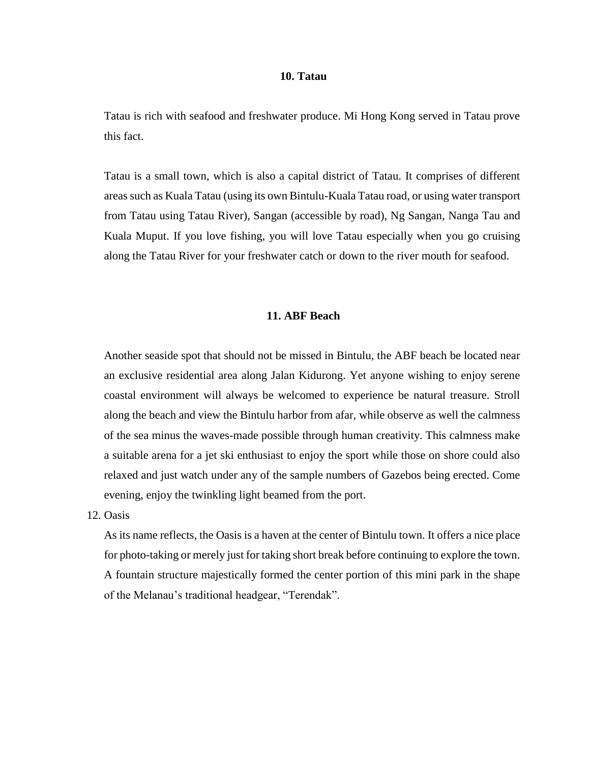#### **10. Tatau**

Tatau is rich with seafood and freshwater produce. Mi Hong Kong served in Tatau prove this fact.

Tatau is a small town, which is also a capital district of Tatau. It comprises of different areas such as Kuala Tatau (using its own Bintulu-Kuala Tatau road, or using water transport from Tatau using Tatau River), Sangan (accessible by road), Ng Sangan, Nanga Tau and Kuala Muput. If you love fishing, you will love Tatau especially when you go cruising along the Tatau River for your freshwater catch or down to the river mouth for seafood.

#### **11. ABF Beach**

Another seaside spot that should not be missed in Bintulu, the ABF beach be located near an exclusive residential area along Jalan Kidurong. Yet anyone wishing to enjoy serene coastal environment will always be welcomed to experience be natural treasure. Stroll along the beach and view the Bintulu harbor from afar, while observe as well the calmness of the sea minus the waves-made possible through human creativity. This calmness make a suitable arena for a jet ski enthusiast to enjoy the sport while those on shore could also relaxed and just watch under any of the sample numbers of Gazebos being erected. Come evening, enjoy the twinkling light beamed from the port.

# 12. Oasis

As its name reflects, the Oasis is a haven at the center of Bintulu town. It offers a nice place for photo-taking or merely just for taking short break before continuing to explore the town. A fountain structure majestically formed the center portion of this mini park in the shape of the Melanau's traditional headgear, "Terendak".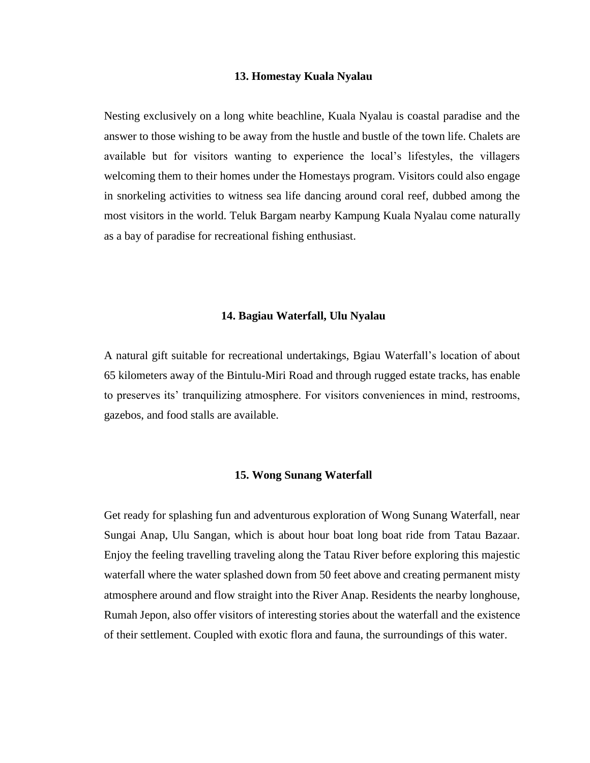# **13. Homestay Kuala Nyalau**

Nesting exclusively on a long white beachline, Kuala Nyalau is coastal paradise and the answer to those wishing to be away from the hustle and bustle of the town life. Chalets are available but for visitors wanting to experience the local's lifestyles, the villagers welcoming them to their homes under the Homestays program. Visitors could also engage in snorkeling activities to witness sea life dancing around coral reef, dubbed among the most visitors in the world. Teluk Bargam nearby Kampung Kuala Nyalau come naturally as a bay of paradise for recreational fishing enthusiast.

### **14. Bagiau Waterfall, Ulu Nyalau**

A natural gift suitable for recreational undertakings, Bgiau Waterfall's location of about 65 kilometers away of the Bintulu-Miri Road and through rugged estate tracks, has enable to preserves its' tranquilizing atmosphere. For visitors conveniences in mind, restrooms, gazebos, and food stalls are available.

#### **15. Wong Sunang Waterfall**

Get ready for splashing fun and adventurous exploration of Wong Sunang Waterfall, near Sungai Anap, Ulu Sangan, which is about hour boat long boat ride from Tatau Bazaar. Enjoy the feeling travelling traveling along the Tatau River before exploring this majestic waterfall where the water splashed down from 50 feet above and creating permanent misty atmosphere around and flow straight into the River Anap. Residents the nearby longhouse, Rumah Jepon, also offer visitors of interesting stories about the waterfall and the existence of their settlement. Coupled with exotic flora and fauna, the surroundings of this water.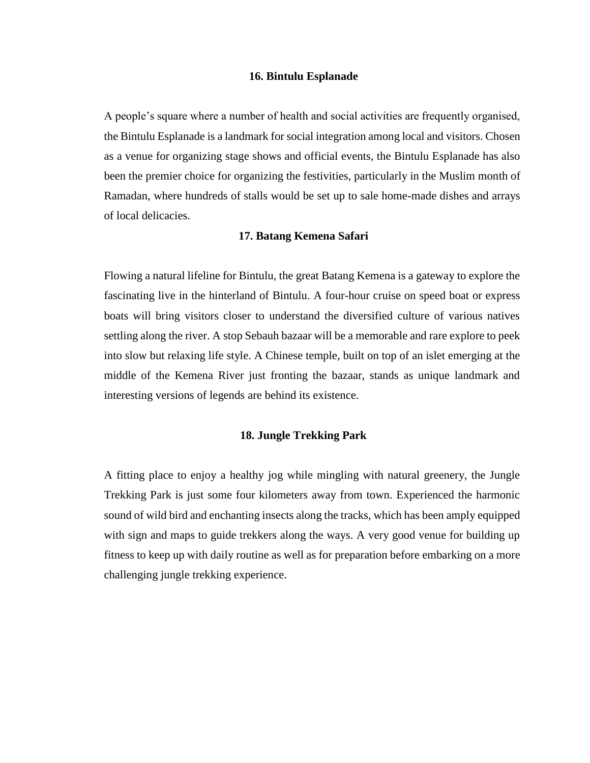#### **16. Bintulu Esplanade**

A people's square where a number of health and social activities are frequently organised, the Bintulu Esplanade is a landmark for social integration among local and visitors. Chosen as a venue for organizing stage shows and official events, the Bintulu Esplanade has also been the premier choice for organizing the festivities, particularly in the Muslim month of Ramadan, where hundreds of stalls would be set up to sale home-made dishes and arrays of local delicacies.

#### **17. Batang Kemena Safari**

Flowing a natural lifeline for Bintulu, the great Batang Kemena is a gateway to explore the fascinating live in the hinterland of Bintulu. A four-hour cruise on speed boat or express boats will bring visitors closer to understand the diversified culture of various natives settling along the river. A stop Sebauh bazaar will be a memorable and rare explore to peek into slow but relaxing life style. A Chinese temple, built on top of an islet emerging at the middle of the Kemena River just fronting the bazaar, stands as unique landmark and interesting versions of legends are behind its existence.

### **18. Jungle Trekking Park**

A fitting place to enjoy a healthy jog while mingling with natural greenery, the Jungle Trekking Park is just some four kilometers away from town. Experienced the harmonic sound of wild bird and enchanting insects along the tracks, which has been amply equipped with sign and maps to guide trekkers along the ways. A very good venue for building up fitness to keep up with daily routine as well as for preparation before embarking on a more challenging jungle trekking experience.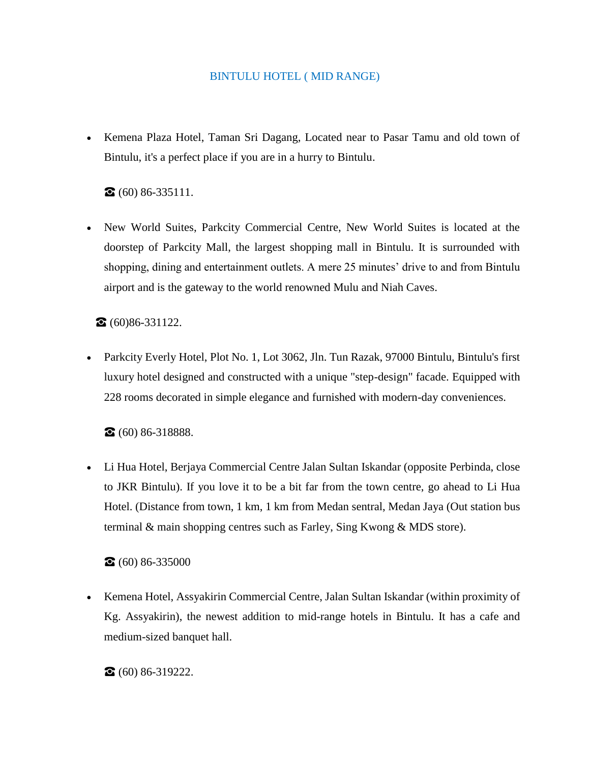# BINTULU HOTEL ( MID RANGE)

• Kemena Plaza Hotel, Taman Sri Dagang, Located near to Pasar Tamu and old town of Bintulu, it's a perfect place if you are in a hurry to Bintulu.

 $\bullet$  (60) 86-335111.

• New World Suites, Parkcity Commercial Centre, New World Suites is located at the doorstep of Parkcity Mall, the largest shopping mall in Bintulu. It is surrounded with shopping, dining and entertainment outlets. A mere 25 minutes' drive to and from Bintulu airport and is the gateway to the world renowned Mulu and Niah Caves.

☎ (60)86-331122.

• Parkcity Everly Hotel, Plot No. 1, Lot 3062, Jln. Tun Razak, 97000 Bintulu, Bintulu's first luxury hotel designed and constructed with a unique "step-design" facade. Equipped with 228 rooms decorated in simple elegance and furnished with modern-day conveniences.

☎ (60) 86-318888.

• Li Hua Hotel, Berjaya Commercial Centre Jalan Sultan Iskandar (opposite Perbinda, close to JKR Bintulu). If you love it to be a bit far from the town centre, go ahead to Li Hua Hotel. (Distance from town, 1 km, 1 km from Medan sentral, Medan Jaya (Out station bus terminal & main shopping centres such as Farley, Sing Kwong & MDS store).

 $\bullet$  (60) 86-335000

• Kemena Hotel, Assyakirin Commercial Centre, Jalan Sultan Iskandar (within proximity of Kg. Assyakirin), the newest addition to mid-range hotels in Bintulu. It has a cafe and medium-sized banquet hall.

 $\bullet$  (60) 86-319222.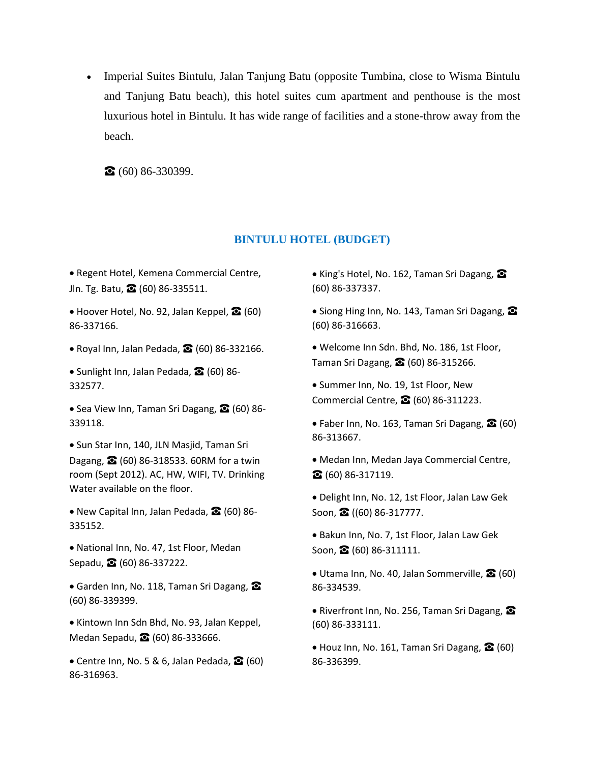• Imperial Suites Bintulu, Jalan Tanjung Batu (opposite Tumbina, close to Wisma Bintulu and Tanjung Batu beach), this hotel suites cum apartment and penthouse is the most luxurious hotel in Bintulu. It has wide range of facilities and a stone-throw away from the beach.

 $\bullet$  (60) 86-330399.

# **BINTULU HOTEL (BUDGET)**

• Regent Hotel, Kemena Commercial Centre, Jln. Tg. Batu, ☎ (60) 86-335511.

• Hoover Hotel, No. 92, Jalan Keppel, ☎ (60) 86-337166.

• Royal Inn, Jalan Pedada, ☎ (60) 86-332166.

• Sunlight Inn, Jalan Pedada, 2 (60) 86-332577.

• Sea View Inn, Taman Sri Dagang, **2** (60) 86-339118.

• Sun Star Inn, 140, JLN Masjid, Taman Sri Dagang, **☎** (60) 86-318533. 60RM for a twin room (Sept 2012). AC, HW, WIFI, TV. Drinking Water available on the floor.

• New Capital Inn, Jalan Pedada, ☎ (60) 86- 335152.

• National Inn, No. 47, 1st Floor, Medan Sepadu, ☎ (60) 86-337222.

• Garden Inn, No. 118, Taman Sri Dagang, <sup>●</sup> (60) 86-339399.

• Kintown Inn Sdn Bhd, No. 93, Jalan Keppel, Medan Sepadu, ☎ (60) 86-333666.

• Centre Inn, No. 5 & 6, Jalan Pedada,  $\mathbf{\Omega}$  (60) 86-316963.

• King's Hotel, No. 162, Taman Sri Dagang, <sup>2</sup> (60) 86-337337.

• Siong Hing Inn, No. 143, Taman Sri Dagang, <sup>2</sup> (60) 86-316663.

• Welcome Inn Sdn. Bhd, No. 186, 1st Floor, Taman Sri Dagang, **☎** (60) 86-315266.

• Summer Inn, No. 19, 1st Floor, New Commercial Centre, ☎ (60) 86-311223.

• Faber Inn, No. 163, Taman Sri Dagang, **◎** (60) 86-313667.

• Medan Inn, Medan Jaya Commercial Centre, ☎ (60) 86-317119.

• Delight Inn, No. 12, 1st Floor, Jalan Law Gek Soon, **☎** ((60) 86-317777.

• Bakun Inn, No. 7, 1st Floor, Jalan Law Gek Soon,  $\Omega$  (60) 86-311111.

• Utama Inn, No. 40, Jalan Sommerville, **○** (60) 86-334539.

• Riverfront Inn, No. 256, Taman Sri Dagang, <sup>2</sup> (60) 86-333111.

• Houz Inn, No. 161, Taman Sri Dagang,  $\Omega$  (60) 86-336399.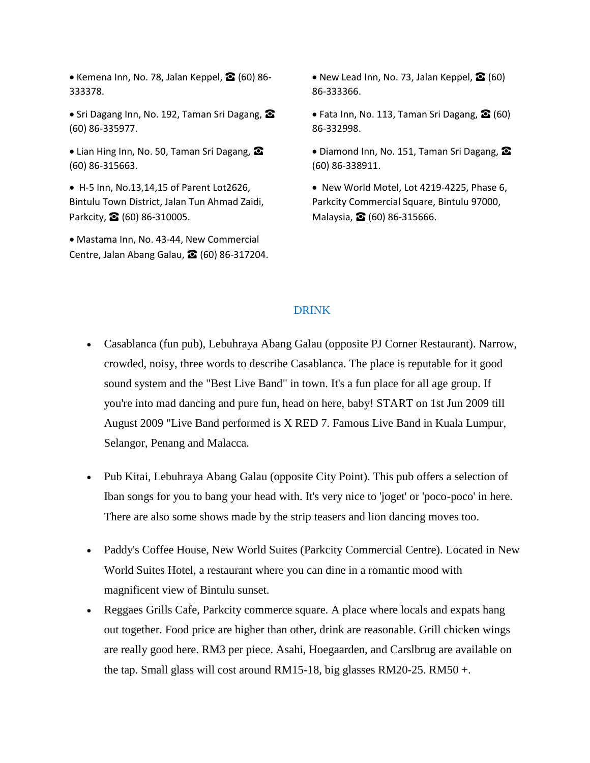• Kemena Inn, No. 78, Jalan Keppel,  $\bigotimes$  (60) 86-333378.

• Sri Dagang Inn, No. 192, Taman Sri Dagang, <sup>2</sup> (60) 86-335977.

• Lian Hing Inn, No. 50, Taman Sri Dagang,  $\Omega$ (60) 86-315663.

• H-5 Inn, No.13,14,15 of Parent Lot2626, Bintulu Town District, Jalan Tun Ahmad Zaidi, Parkcity, **☎** (60) 86-310005.

• Mastama Inn, No. 43-44, New Commercial Centre, Jalan Abang Galau, **☎** (60) 86-317204. • New Lead Inn, No. 73, Jalan Keppel,  $\mathbf{\Omega}$  (60) 86-333366.

• Fata Inn, No. 113, Taman Sri Dagang,  $\Omega$  (60) 86-332998.

• Diamond Inn, No. 151, Taman Sri Dagang,  $\Omega$ (60) 86-338911.

• New World Motel, Lot 4219-4225, Phase 6, Parkcity Commercial Square, Bintulu 97000, Malaysia, **☎** (60) 86-315666.

### DRINK

- Casablanca (fun pub), Lebuhraya Abang Galau (opposite PJ Corner Restaurant). Narrow, crowded, noisy, three words to describe Casablanca. The place is reputable for it good sound system and the "Best Live Band" in town. It's a fun place for all age group. If you're into mad dancing and pure fun, head on here, baby! START on 1st Jun 2009 till August 2009 "Live Band performed is X RED 7. Famous Live Band in Kuala Lumpur, Selangor, Penang and Malacca.
- Pub Kitai, Lebuhraya Abang Galau (opposite City Point). This pub offers a selection of Iban songs for you to bang your head with. It's very nice to 'joget' or 'poco-poco' in here. There are also some shows made by the strip teasers and lion dancing moves too.
- Paddy's Coffee House, New World Suites (Parkcity Commercial Centre). Located in New World Suites Hotel, a restaurant where you can dine in a romantic mood with magnificent view of Bintulu sunset.
- Reggaes Grills Cafe, Parkcity commerce square. A place where locals and expats hang out together. Food price are higher than other, drink are reasonable. Grill chicken wings are really good here. RM3 per piece. Asahi, Hoegaarden, and Carslbrug are available on the tap. Small glass will cost around RM15-18, big glasses RM20-25. RM50 +.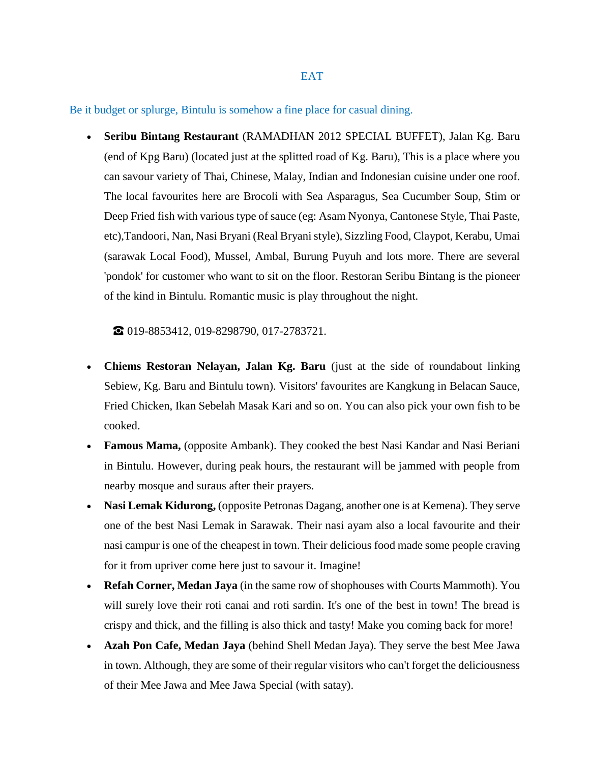Be it budget or splurge, Bintulu is somehow a fine place for casual dining.

• **Seribu Bintang Restaurant** (RAMADHAN 2012 SPECIAL BUFFET), Jalan Kg. Baru (end of Kpg Baru) (located just at the splitted road of Kg. Baru), This is a place where you can savour variety of Thai, Chinese, Malay, Indian and Indonesian cuisine under one roof. The local favourites here are Brocoli with Sea Asparagus, Sea Cucumber Soup, Stim or Deep Fried fish with various type of sauce (eg: Asam Nyonya, Cantonese Style, Thai Paste, etc),Tandoori, Nan, Nasi Bryani (Real Bryani style), Sizzling Food, Claypot, Kerabu, Umai (sarawak Local Food), Mussel, Ambal, Burung Puyuh and lots more. There are several 'pondok' for customer who want to sit on the floor. Restoran Seribu Bintang is the pioneer of the kind in Bintulu. Romantic music is play throughout the night.

☎ 019-8853412, 019-8298790, 017-2783721.

- **Chiems Restoran Nelayan, Jalan Kg. Baru** (just at the side of roundabout linking Sebiew, Kg. Baru and Bintulu town). Visitors' favourites are Kangkung in Belacan Sauce, Fried Chicken, Ikan Sebelah Masak Kari and so on. You can also pick your own fish to be cooked.
- **Famous Mama,** (opposite Ambank). They cooked the best Nasi Kandar and Nasi Beriani in Bintulu. However, during peak hours, the restaurant will be jammed with people from nearby mosque and suraus after their prayers.
- **Nasi Lemak Kidurong,** (opposite Petronas Dagang, another one is at Kemena). They serve one of the best Nasi Lemak in Sarawak. Their nasi ayam also a local favourite and their nasi campur is one of the cheapest in town. Their delicious food made some people craving for it from upriver come here just to savour it. Imagine!
- **Refah Corner, Medan Jaya** (in the same row of shophouses with Courts Mammoth). You will surely love their roti canai and roti sardin. It's one of the best in town! The bread is crispy and thick, and the filling is also thick and tasty! Make you coming back for more!
- **Azah Pon Cafe, Medan Jaya** (behind Shell Medan Jaya). They serve the best Mee Jawa in town. Although, they are some of their regular visitors who can't forget the deliciousness of their Mee Jawa and Mee Jawa Special (with satay).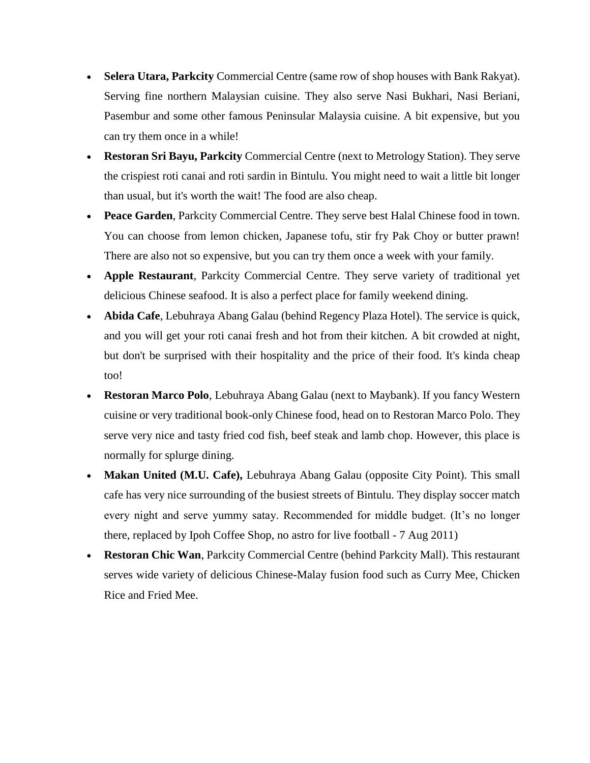- **Selera Utara, Parkcity** Commercial Centre (same row of shop houses with Bank Rakyat). Serving fine northern Malaysian cuisine. They also serve Nasi Bukhari, Nasi Beriani, Pasembur and some other famous Peninsular Malaysia cuisine. A bit expensive, but you can try them once in a while!
- **Restoran Sri Bayu, Parkcity** Commercial Centre (next to Metrology Station). They serve the crispiest roti canai and roti sardin in Bintulu. You might need to wait a little bit longer than usual, but it's worth the wait! The food are also cheap.
- **Peace Garden**, Parkcity Commercial Centre. They serve best Halal Chinese food in town. You can choose from lemon chicken, Japanese tofu, stir fry Pak Choy or butter prawn! There are also not so expensive, but you can try them once a week with your family.
- **Apple Restaurant**, Parkcity Commercial Centre. They serve variety of traditional yet delicious Chinese seafood. It is also a perfect place for family weekend dining.
- **Abida Cafe**, Lebuhraya Abang Galau (behind Regency Plaza Hotel). The service is quick, and you will get your roti canai fresh and hot from their kitchen. A bit crowded at night, but don't be surprised with their hospitality and the price of their food. It's kinda cheap too!
- **Restoran Marco Polo**, Lebuhraya Abang Galau (next to Maybank). If you fancy Western cuisine or very traditional book-only Chinese food, head on to Restoran Marco Polo. They serve very nice and tasty fried cod fish, beef steak and lamb chop. However, this place is normally for splurge dining.
- **Makan United (M.U. Cafe),** Lebuhraya Abang Galau (opposite City Point). This small cafe has very nice surrounding of the busiest streets of Bintulu. They display soccer match every night and serve yummy satay. Recommended for middle budget. (It's no longer there, replaced by Ipoh Coffee Shop, no astro for live football - 7 Aug 2011)
- **Restoran Chic Wan**, Parkcity Commercial Centre (behind Parkcity Mall). This restaurant serves wide variety of delicious Chinese-Malay fusion food such as Curry Mee, Chicken Rice and Fried Mee.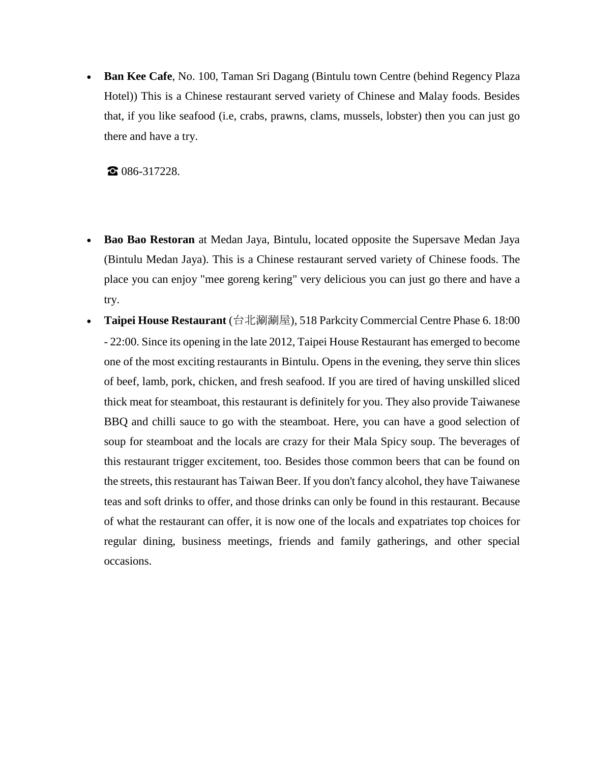• **Ban Kee Cafe**, No. 100, Taman Sri Dagang (Bintulu town Centre (behind Regency Plaza Hotel)) This is a Chinese restaurant served variety of Chinese and Malay foods. Besides that, if you like seafood (i.e, crabs, prawns, clams, mussels, lobster) then you can just go there and have a try.

☎ 086-317228.

- **Bao Bao Restoran** at Medan Jaya, Bintulu, located opposite the Supersave Medan Jaya (Bintulu Medan Jaya). This is a Chinese restaurant served variety of Chinese foods. The place you can enjoy "mee goreng kering" very delicious you can just go there and have a try.
- **Taipei House Restaurant** (台北涮涮屋), 518 Parkcity Commercial Centre Phase 6. 18:00 - 22:00. Since its opening in the late 2012, Taipei House Restaurant has emerged to become one of the most exciting restaurants in Bintulu. Opens in the evening, they serve thin slices of beef, lamb, pork, chicken, and fresh seafood. If you are tired of having unskilled sliced thick meat for steamboat, this restaurant is definitely for you. They also provide Taiwanese BBQ and chilli sauce to go with the steamboat. Here, you can have a good selection of soup for steamboat and the locals are crazy for their Mala Spicy soup. The beverages of this restaurant trigger excitement, too. Besides those common beers that can be found on the streets, this restaurant has Taiwan Beer. If you don't fancy alcohol, they have Taiwanese teas and soft drinks to offer, and those drinks can only be found in this restaurant. Because of what the restaurant can offer, it is now one of the locals and expatriates top choices for regular dining, business meetings, friends and family gatherings, and other special occasions.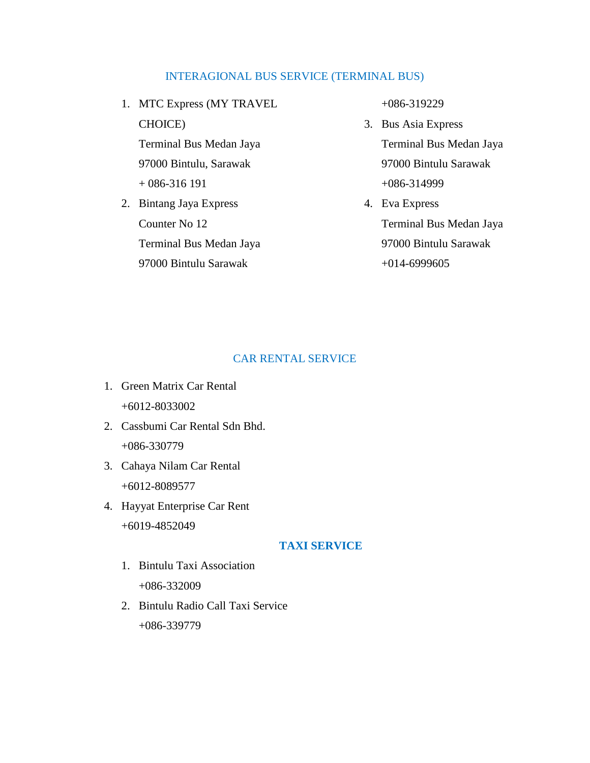# INTERAGIONAL BUS SERVICE (TERMINAL BUS)

- 1. MTC Express (MY TRAVEL CHOICE) Terminal Bus Medan Jaya 97000 Bintulu, Sarawak + 086-316 191
- 2. Bintang Jaya Express Counter No 12 Terminal Bus Medan Jaya 97000 Bintulu Sarawak

+086-319229

- 3. Bus Asia Express Terminal Bus Medan Jaya 97000 Bintulu Sarawak +086-314999
- 4. Eva Express Terminal Bus Medan Jaya 97000 Bintulu Sarawak +014-6999605

# CAR RENTAL SERVICE

- 1. Green Matrix Car Rental +6012-8033002
- 2. Cassbumi Car Rental Sdn Bhd. +086-330779
- 3. Cahaya Nilam Car Rental +6012-8089577
- 4. Hayyat Enterprise Car Rent +6019-4852049

# **TAXI SERVICE**

- 1. Bintulu Taxi Association +086-332009
- 2. Bintulu Radio Call Taxi Service +086-339779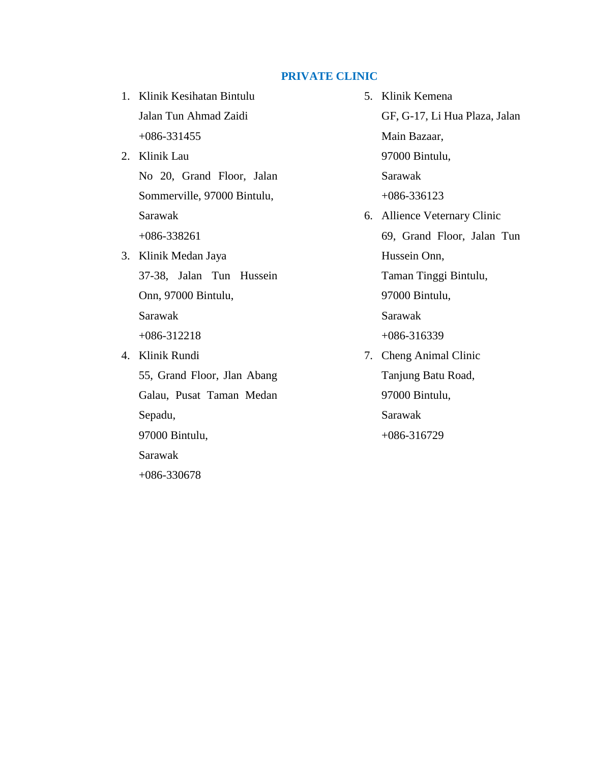# **PRIVATE CLINIC**

- 1. Klinik Kesihatan Bintulu Jalan Tun Ahmad Zaidi +086-331455
- 2. Klinik Lau No 20, Grand Floor, Jalan Sommerville, 97000 Bintulu, Sarawak +086-338261
- 3. Klinik Medan Jaya 37-38, Jalan Tun Hussein Onn, 97000 Bintulu, Sarawak

+086-312218

- 4. Klinik Rundi 55, Grand Floor, Jlan Abang Galau, Pusat Taman Medan Sepadu, 97000 Bintulu, Sarawak +086-330678
- 5. Klinik Kemena GF, G-17, Li Hua Plaza, Jalan Main Bazaar, 97000 Bintulu, Sarawak +086-336123 6. Allience Veternary Clinic 69, Grand Floor, Jalan Tun Hussein Onn, Taman Tinggi Bintulu, 97000 Bintulu, Sarawak +086-316339 7. Cheng Animal Clinic Tanjung Batu Road, 97000 Bintulu, Sarawak +086-316729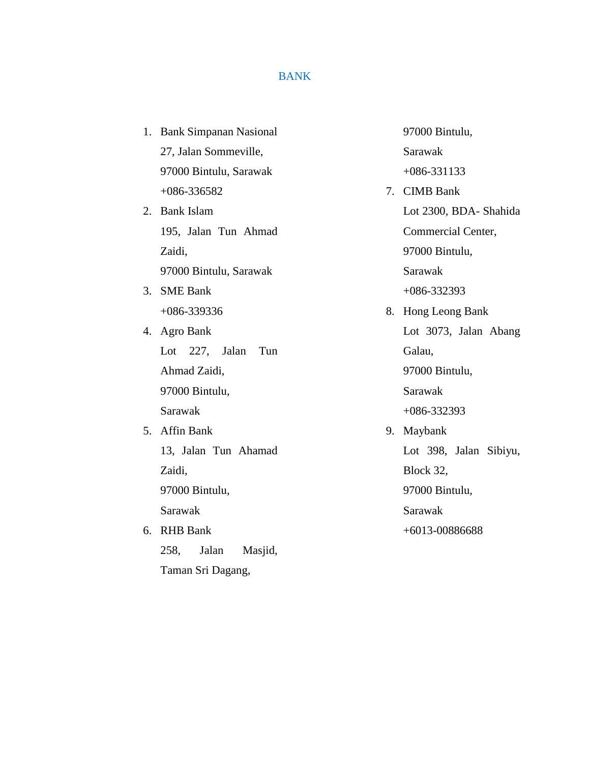# BANK

1. Bank Simpanan Nasional 27, Jalan Sommeville, 97000 Bintulu, Sarawak +086-336582

2. Bank Islam 195, Jalan Tun Ahmad Zaidi, 97000 Bintulu, Sarawak

3. SME Bank +086-339336

4. Agro Bank Lot 227, Jalan Tun Ahmad Zaidi, 97000 Bintulu, Sarawak

5. Affin Bank 13, Jalan Tun Ahamad Zaidi, 97000 Bintulu, Sarawak

6. RHB Bank 258, Jalan Masjid, Taman Sri Dagang,

97000 Bintulu, Sarawak +086-331133

- 7. CIMB Bank Lot 2300, BDA- Shahida Commercial Center, 97000 Bintulu, Sarawak +086-332393
- 8. Hong Leong Bank Lot 3073, Jalan Abang Galau, 97000 Bintulu, Sarawak +086-332393 9. Maybank
	- Lot 398, Jalan Sibiyu, Block 32, 97000 Bintulu, Sarawak +6013-00886688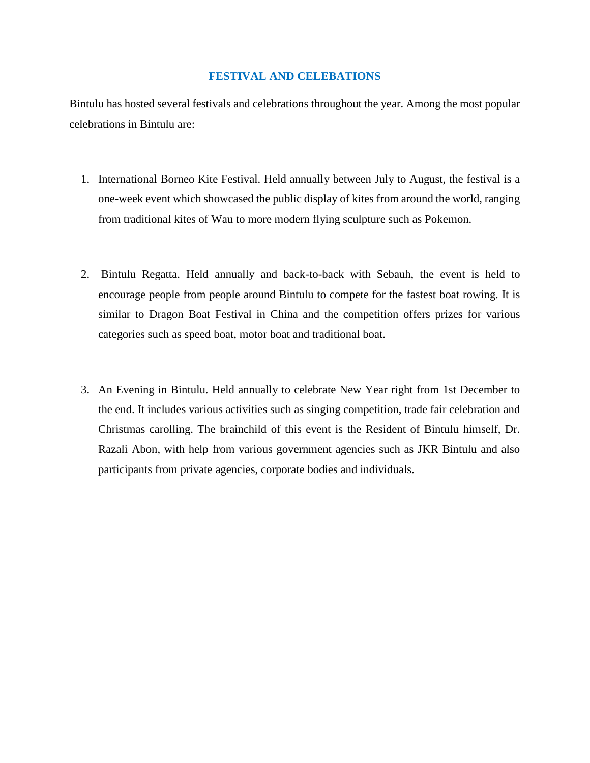### **FESTIVAL AND CELEBATIONS**

Bintulu has hosted several festivals and celebrations throughout the year. Among the most popular celebrations in Bintulu are:

- 1. International Borneo Kite Festival. Held annually between July to August, the festival is a one-week event which showcased the public display of kites from around the world, ranging from traditional kites of Wau to more modern flying sculpture such as Pokemon.
- 2. Bintulu Regatta. Held annually and back-to-back with Sebauh, the event is held to encourage people from people around Bintulu to compete for the fastest boat rowing. It is similar to Dragon Boat Festival in China and the competition offers prizes for various categories such as speed boat, motor boat and traditional boat.
- 3. An Evening in Bintulu. Held annually to celebrate New Year right from 1st December to the end. It includes various activities such as singing competition, trade fair celebration and Christmas carolling. The brainchild of this event is the Resident of Bintulu himself, Dr. Razali Abon, with help from various government agencies such as JKR Bintulu and also participants from private agencies, corporate bodies and individuals.